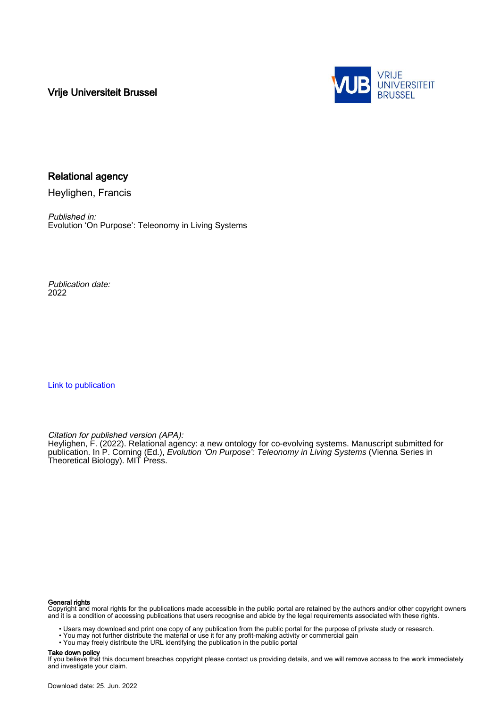Vrije Universiteit Brussel



# Relational agency

Heylighen, Francis

Published in: Evolution 'On Purpose': Teleonomy in Living Systems

Publication date: 2022

[Link to publication](https://researchportal.vub.be/en/publications/5f869d39-7d48-4e9c-9555-f9b7b3feff8d)

Citation for published version (APA):

Heylighen, F. (2022). Relational agency: a new ontology for co-evolving systems. Manuscript submitted for publication. In P. Corning (Ed.), Evolution 'On Purpose': Teleonomy in Living Systems (Vienna Series in Theoretical Biology). MIT Press.

#### General rights

Copyright and moral rights for the publications made accessible in the public portal are retained by the authors and/or other copyright owners and it is a condition of accessing publications that users recognise and abide by the legal requirements associated with these rights.

• Users may download and print one copy of any publication from the public portal for the purpose of private study or research.

- You may not further distribute the material or use it for any profit-making activity or commercial gain
- You may freely distribute the URL identifying the publication in the public portal

#### Take down policy

If you believe that this document breaches copyright please contact us providing details, and we will remove access to the work immediately and investigate your claim.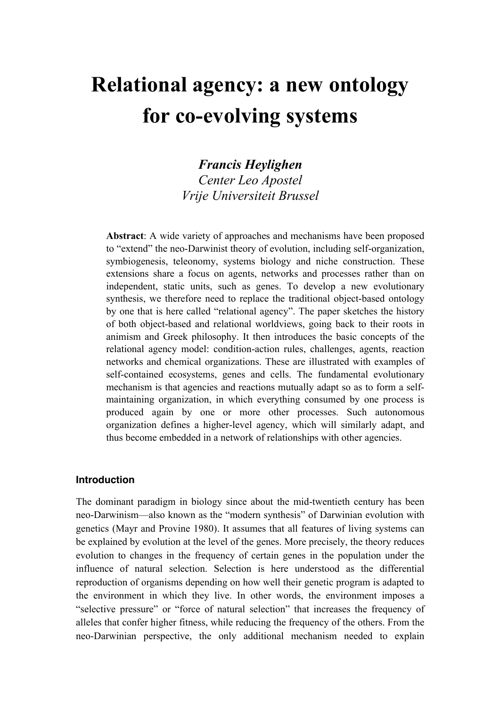# **Relational agency: a new ontology for co-evolving systems**

# *Francis Heylighen Center Leo Apostel Vrije Universiteit Brussel*

**Abstract**: A wide variety of approaches and mechanisms have been proposed to "extend" the neo-Darwinist theory of evolution, including self-organization, symbiogenesis, teleonomy, systems biology and niche construction. These extensions share a focus on agents, networks and processes rather than on independent, static units, such as genes. To develop a new evolutionary synthesis, we therefore need to replace the traditional object-based ontology by one that is here called "relational agency". The paper sketches the history of both object-based and relational worldviews, going back to their roots in animism and Greek philosophy. It then introduces the basic concepts of the relational agency model: condition-action rules, challenges, agents, reaction networks and chemical organizations. These are illustrated with examples of self-contained ecosystems, genes and cells. The fundamental evolutionary mechanism is that agencies and reactions mutually adapt so as to form a selfmaintaining organization, in which everything consumed by one process is produced again by one or more other processes. Such autonomous organization defines a higher-level agency, which will similarly adapt, and thus become embedded in a network of relationships with other agencies.

#### **Introduction**

The dominant paradigm in biology since about the mid-twentieth century has been neo-Darwinism—also known as the "modern synthesis" of Darwinian evolution with genetics (Mayr and Provine 1980). It assumes that all features of living systems can be explained by evolution at the level of the genes. More precisely, the theory reduces evolution to changes in the frequency of certain genes in the population under the influence of natural selection. Selection is here understood as the differential reproduction of organisms depending on how well their genetic program is adapted to the environment in which they live. In other words, the environment imposes a "selective pressure" or "force of natural selection" that increases the frequency of alleles that confer higher fitness, while reducing the frequency of the others. From the neo-Darwinian perspective, the only additional mechanism needed to explain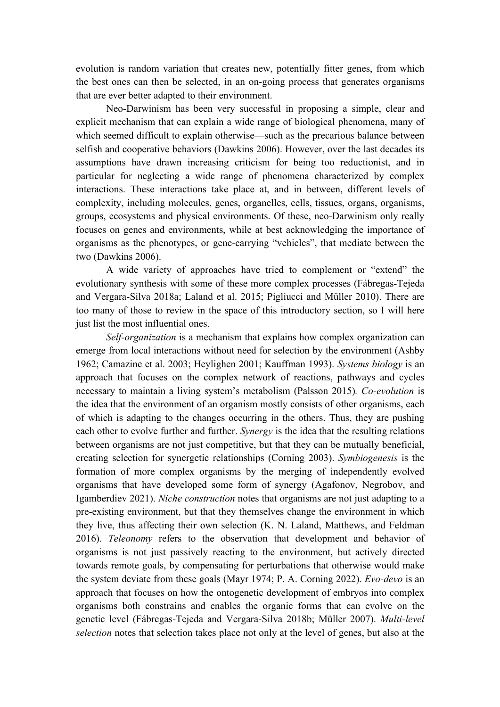evolution is random variation that creates new, potentially fitter genes, from which the best ones can then be selected, in an on-going process that generates organisms that are ever better adapted to their environment.

Neo-Darwinism has been very successful in proposing a simple, clear and explicit mechanism that can explain a wide range of biological phenomena, many of which seemed difficult to explain otherwise—such as the precarious balance between selfish and cooperative behaviors (Dawkins 2006). However, over the last decades its assumptions have drawn increasing criticism for being too reductionist, and in particular for neglecting a wide range of phenomena characterized by complex interactions. These interactions take place at, and in between, different levels of complexity, including molecules, genes, organelles, cells, tissues, organs, organisms, groups, ecosystems and physical environments. Of these, neo-Darwinism only really focuses on genes and environments, while at best acknowledging the importance of organisms as the phenotypes, or gene-carrying "vehicles", that mediate between the two (Dawkins 2006).

A wide variety of approaches have tried to complement or "extend" the evolutionary synthesis with some of these more complex processes (Fábregas-Tejeda and Vergara-Silva 2018a; Laland et al. 2015; Pigliucci and Müller 2010). There are too many of those to review in the space of this introductory section, so I will here just list the most influential ones.

*Self-organization* is a mechanism that explains how complex organization can emerge from local interactions without need for selection by the environment (Ashby 1962; Camazine et al. 2003; Heylighen 2001; Kauffman 1993). *Systems biology* is an approach that focuses on the complex network of reactions, pathways and cycles necessary to maintain a living system's metabolism (Palsson 2015)*. Co-evolution* is the idea that the environment of an organism mostly consists of other organisms, each of which is adapting to the changes occurring in the others. Thus, they are pushing each other to evolve further and further. *Synergy* is the idea that the resulting relations between organisms are not just competitive, but that they can be mutually beneficial, creating selection for synergetic relationships (Corning 2003). *Symbiogenesis* is the formation of more complex organisms by the merging of independently evolved organisms that have developed some form of synergy (Agafonov, Negrobov, and Igamberdiev 2021). *Niche construction* notes that organisms are not just adapting to a pre-existing environment, but that they themselves change the environment in which they live, thus affecting their own selection (K. N. Laland, Matthews, and Feldman 2016). *Teleonomy* refers to the observation that development and behavior of organisms is not just passively reacting to the environment, but actively directed towards remote goals, by compensating for perturbations that otherwise would make the system deviate from these goals (Mayr 1974; P. A. Corning 2022). *Evo-devo* is an approach that focuses on how the ontogenetic development of embryos into complex organisms both constrains and enables the organic forms that can evolve on the genetic level (Fábregas-Tejeda and Vergara-Silva 2018b; Müller 2007). *Multi-level selection* notes that selection takes place not only at the level of genes, but also at the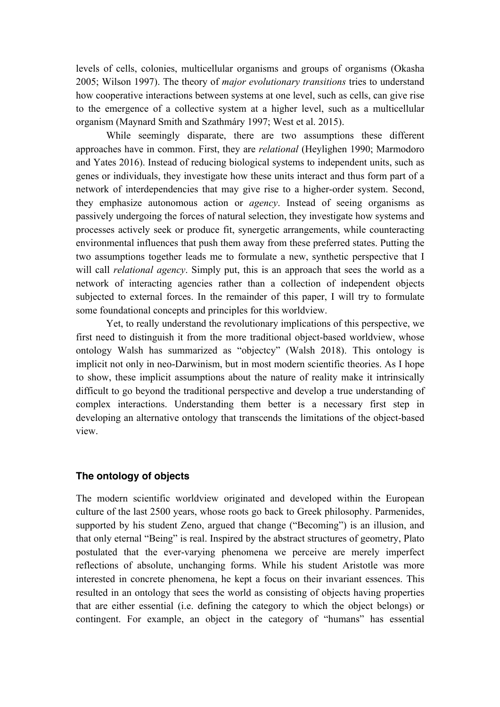levels of cells, colonies, multicellular organisms and groups of organisms (Okasha 2005; Wilson 1997). The theory of *major evolutionary transitions* tries to understand how cooperative interactions between systems at one level, such as cells, can give rise to the emergence of a collective system at a higher level, such as a multicellular organism (Maynard Smith and Szathmáry 1997; West et al. 2015).

While seemingly disparate, there are two assumptions these different approaches have in common. First, they are *relational* (Heylighen 1990; Marmodoro and Yates 2016). Instead of reducing biological systems to independent units, such as genes or individuals, they investigate how these units interact and thus form part of a network of interdependencies that may give rise to a higher-order system. Second, they emphasize autonomous action or *agency*. Instead of seeing organisms as passively undergoing the forces of natural selection, they investigate how systems and processes actively seek or produce fit, synergetic arrangements, while counteracting environmental influences that push them away from these preferred states. Putting the two assumptions together leads me to formulate a new, synthetic perspective that I will call *relational agency*. Simply put, this is an approach that sees the world as a network of interacting agencies rather than a collection of independent objects subjected to external forces. In the remainder of this paper, I will try to formulate some foundational concepts and principles for this worldview.

Yet, to really understand the revolutionary implications of this perspective, we first need to distinguish it from the more traditional object-based worldview, whose ontology Walsh has summarized as "objectcy" (Walsh 2018). This ontology is implicit not only in neo-Darwinism, but in most modern scientific theories. As I hope to show, these implicit assumptions about the nature of reality make it intrinsically difficult to go beyond the traditional perspective and develop a true understanding of complex interactions. Understanding them better is a necessary first step in developing an alternative ontology that transcends the limitations of the object-based view.

# **The ontology of objects**

The modern scientific worldview originated and developed within the European culture of the last 2500 years, whose roots go back to Greek philosophy. Parmenides, supported by his student Zeno, argued that change ("Becoming") is an illusion, and that only eternal "Being" is real. Inspired by the abstract structures of geometry, Plato postulated that the ever-varying phenomena we perceive are merely imperfect reflections of absolute, unchanging forms. While his student Aristotle was more interested in concrete phenomena, he kept a focus on their invariant essences. This resulted in an ontology that sees the world as consisting of objects having properties that are either essential (i.e. defining the category to which the object belongs) or contingent. For example, an object in the category of "humans" has essential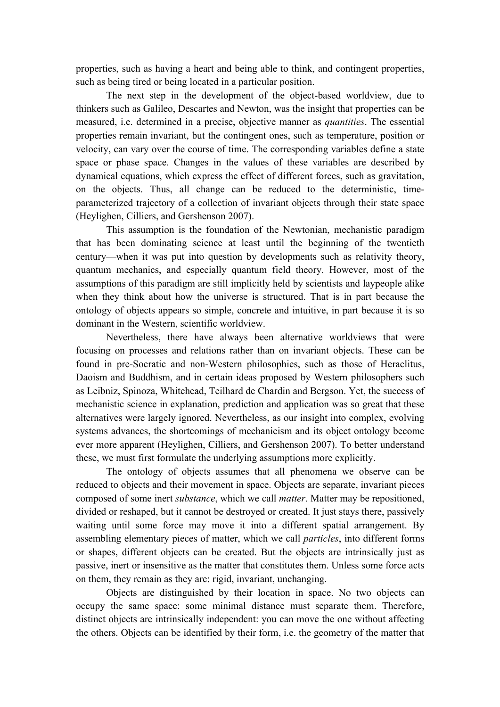properties, such as having a heart and being able to think, and contingent properties, such as being tired or being located in a particular position.

The next step in the development of the object-based worldview, due to thinkers such as Galileo, Descartes and Newton, was the insight that properties can be measured, i.e. determined in a precise, objective manner as *quantities*. The essential properties remain invariant, but the contingent ones, such as temperature, position or velocity, can vary over the course of time. The corresponding variables define a state space or phase space. Changes in the values of these variables are described by dynamical equations, which express the effect of different forces, such as gravitation, on the objects. Thus, all change can be reduced to the deterministic, timeparameterized trajectory of a collection of invariant objects through their state space (Heylighen, Cilliers, and Gershenson 2007).

This assumption is the foundation of the Newtonian, mechanistic paradigm that has been dominating science at least until the beginning of the twentieth century—when it was put into question by developments such as relativity theory, quantum mechanics, and especially quantum field theory. However, most of the assumptions of this paradigm are still implicitly held by scientists and laypeople alike when they think about how the universe is structured. That is in part because the ontology of objects appears so simple, concrete and intuitive, in part because it is so dominant in the Western, scientific worldview.

Nevertheless, there have always been alternative worldviews that were focusing on processes and relations rather than on invariant objects. These can be found in pre-Socratic and non-Western philosophies, such as those of Heraclitus, Daoism and Buddhism, and in certain ideas proposed by Western philosophers such as Leibniz, Spinoza, Whitehead, Teilhard de Chardin and Bergson. Yet, the success of mechanistic science in explanation, prediction and application was so great that these alternatives were largely ignored. Nevertheless, as our insight into complex, evolving systems advances, the shortcomings of mechanicism and its object ontology become ever more apparent (Heylighen, Cilliers, and Gershenson 2007). To better understand these, we must first formulate the underlying assumptions more explicitly.

The ontology of objects assumes that all phenomena we observe can be reduced to objects and their movement in space. Objects are separate, invariant pieces composed of some inert *substance*, which we call *matter*. Matter may be repositioned, divided or reshaped, but it cannot be destroyed or created. It just stays there, passively waiting until some force may move it into a different spatial arrangement. By assembling elementary pieces of matter, which we call *particles*, into different forms or shapes, different objects can be created. But the objects are intrinsically just as passive, inert or insensitive as the matter that constitutes them. Unless some force acts on them, they remain as they are: rigid, invariant, unchanging.

Objects are distinguished by their location in space. No two objects can occupy the same space: some minimal distance must separate them. Therefore, distinct objects are intrinsically independent: you can move the one without affecting the others. Objects can be identified by their form, i.e. the geometry of the matter that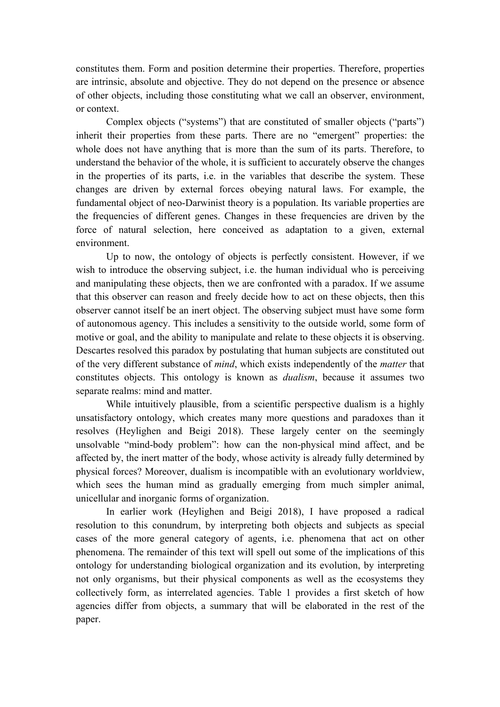constitutes them. Form and position determine their properties. Therefore, properties are intrinsic, absolute and objective. They do not depend on the presence or absence of other objects, including those constituting what we call an observer, environment, or context.

Complex objects ("systems") that are constituted of smaller objects ("parts") inherit their properties from these parts. There are no "emergent" properties: the whole does not have anything that is more than the sum of its parts. Therefore, to understand the behavior of the whole, it is sufficient to accurately observe the changes in the properties of its parts, i.e. in the variables that describe the system. These changes are driven by external forces obeying natural laws. For example, the fundamental object of neo-Darwinist theory is a population. Its variable properties are the frequencies of different genes. Changes in these frequencies are driven by the force of natural selection, here conceived as adaptation to a given, external environment.

Up to now, the ontology of objects is perfectly consistent. However, if we wish to introduce the observing subject, i.e. the human individual who is perceiving and manipulating these objects, then we are confronted with a paradox. If we assume that this observer can reason and freely decide how to act on these objects, then this observer cannot itself be an inert object. The observing subject must have some form of autonomous agency. This includes a sensitivity to the outside world, some form of motive or goal, and the ability to manipulate and relate to these objects it is observing. Descartes resolved this paradox by postulating that human subjects are constituted out of the very different substance of *mind*, which exists independently of the *matter* that constitutes objects. This ontology is known as *dualism*, because it assumes two separate realms: mind and matter.

While intuitively plausible, from a scientific perspective dualism is a highly unsatisfactory ontology, which creates many more questions and paradoxes than it resolves (Heylighen and Beigi 2018). These largely center on the seemingly unsolvable "mind-body problem": how can the non-physical mind affect, and be affected by, the inert matter of the body, whose activity is already fully determined by physical forces? Moreover, dualism is incompatible with an evolutionary worldview, which sees the human mind as gradually emerging from much simpler animal, unicellular and inorganic forms of organization.

In earlier work (Heylighen and Beigi 2018), I have proposed a radical resolution to this conundrum, by interpreting both objects and subjects as special cases of the more general category of agents, i.e. phenomena that act on other phenomena. The remainder of this text will spell out some of the implications of this ontology for understanding biological organization and its evolution, by interpreting not only organisms, but their physical components as well as the ecosystems they collectively form, as interrelated agencies. Table 1 provides a first sketch of how agencies differ from objects, a summary that will be elaborated in the rest of the paper.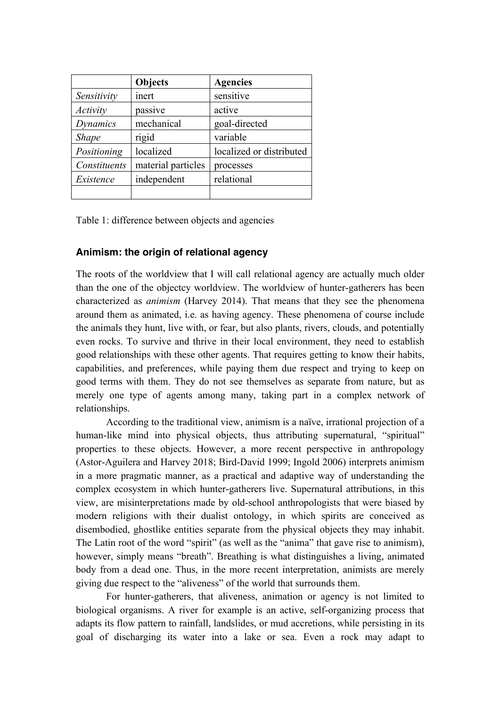|              | <b>Objects</b>     | <b>Agencies</b>          |
|--------------|--------------------|--------------------------|
| Sensitivity  | inert              | sensitive                |
| Activity     | passive            | active                   |
| Dynamics     | mechanical         | goal-directed            |
| <b>Shape</b> | rigid              | variable                 |
| Positioning  | localized          | localized or distributed |
| Constituents | material particles | processes                |
| Existence    | independent        | relational               |
|              |                    |                          |

Table 1: difference between objects and agencies

# **Animism: the origin of relational agency**

The roots of the worldview that I will call relational agency are actually much older than the one of the objectcy worldview. The worldview of hunter-gatherers has been characterized as *animism* (Harvey 2014). That means that they see the phenomena around them as animated, i.e. as having agency. These phenomena of course include the animals they hunt, live with, or fear, but also plants, rivers, clouds, and potentially even rocks. To survive and thrive in their local environment, they need to establish good relationships with these other agents. That requires getting to know their habits, capabilities, and preferences, while paying them due respect and trying to keep on good terms with them. They do not see themselves as separate from nature, but as merely one type of agents among many, taking part in a complex network of relationships.

According to the traditional view, animism is a naïve, irrational projection of a human-like mind into physical objects, thus attributing supernatural, "spiritual" properties to these objects. However, a more recent perspective in anthropology (Astor-Aguilera and Harvey 2018; Bird-David 1999; Ingold 2006) interprets animism in a more pragmatic manner, as a practical and adaptive way of understanding the complex ecosystem in which hunter-gatherers live. Supernatural attributions, in this view, are misinterpretations made by old-school anthropologists that were biased by modern religions with their dualist ontology, in which spirits are conceived as disembodied, ghostlike entities separate from the physical objects they may inhabit. The Latin root of the word "spirit" (as well as the "anima" that gave rise to animism), however, simply means "breath". Breathing is what distinguishes a living, animated body from a dead one. Thus, in the more recent interpretation, animists are merely giving due respect to the "aliveness" of the world that surrounds them.

For hunter-gatherers, that aliveness, animation or agency is not limited to biological organisms. A river for example is an active, self-organizing process that adapts its flow pattern to rainfall, landslides, or mud accretions, while persisting in its goal of discharging its water into a lake or sea. Even a rock may adapt to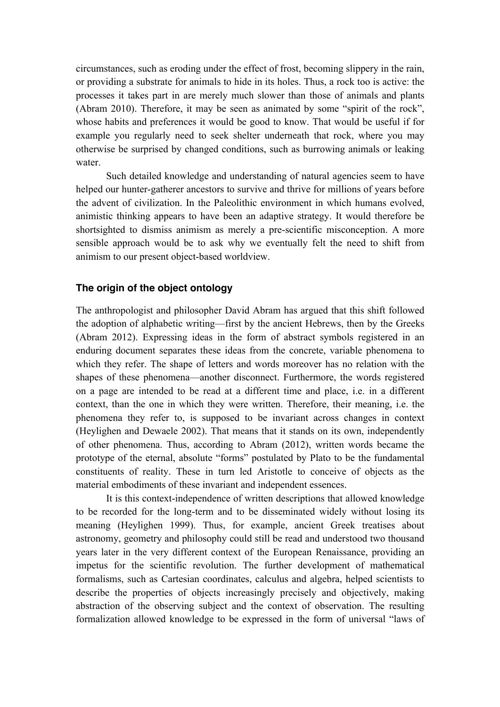circumstances, such as eroding under the effect of frost, becoming slippery in the rain, or providing a substrate for animals to hide in its holes. Thus, a rock too is active: the processes it takes part in are merely much slower than those of animals and plants (Abram 2010). Therefore, it may be seen as animated by some "spirit of the rock", whose habits and preferences it would be good to know. That would be useful if for example you regularly need to seek shelter underneath that rock, where you may otherwise be surprised by changed conditions, such as burrowing animals or leaking water.

Such detailed knowledge and understanding of natural agencies seem to have helped our hunter-gatherer ancestors to survive and thrive for millions of years before the advent of civilization. In the Paleolithic environment in which humans evolved, animistic thinking appears to have been an adaptive strategy. It would therefore be shortsighted to dismiss animism as merely a pre-scientific misconception. A more sensible approach would be to ask why we eventually felt the need to shift from animism to our present object-based worldview.

# **The origin of the object ontology**

The anthropologist and philosopher David Abram has argued that this shift followed the adoption of alphabetic writing—first by the ancient Hebrews, then by the Greeks (Abram 2012). Expressing ideas in the form of abstract symbols registered in an enduring document separates these ideas from the concrete, variable phenomena to which they refer. The shape of letters and words moreover has no relation with the shapes of these phenomena—another disconnect. Furthermore, the words registered on a page are intended to be read at a different time and place, i.e. in a different context, than the one in which they were written. Therefore, their meaning, i.e. the phenomena they refer to, is supposed to be invariant across changes in context (Heylighen and Dewaele 2002). That means that it stands on its own, independently of other phenomena. Thus, according to Abram (2012), written words became the prototype of the eternal, absolute "forms" postulated by Plato to be the fundamental constituents of reality. These in turn led Aristotle to conceive of objects as the material embodiments of these invariant and independent essences.

It is this context-independence of written descriptions that allowed knowledge to be recorded for the long-term and to be disseminated widely without losing its meaning (Heylighen 1999). Thus, for example, ancient Greek treatises about astronomy, geometry and philosophy could still be read and understood two thousand years later in the very different context of the European Renaissance, providing an impetus for the scientific revolution. The further development of mathematical formalisms, such as Cartesian coordinates, calculus and algebra, helped scientists to describe the properties of objects increasingly precisely and objectively, making abstraction of the observing subject and the context of observation. The resulting formalization allowed knowledge to be expressed in the form of universal "laws of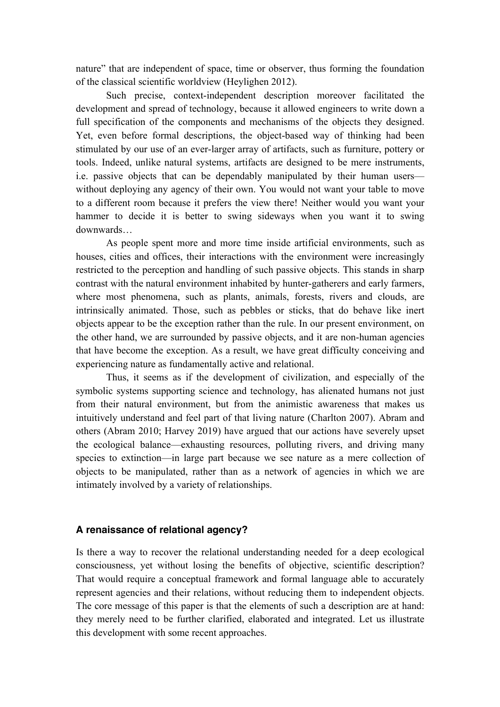nature" that are independent of space, time or observer, thus forming the foundation of the classical scientific worldview (Heylighen 2012).

Such precise, context-independent description moreover facilitated the development and spread of technology, because it allowed engineers to write down a full specification of the components and mechanisms of the objects they designed. Yet, even before formal descriptions, the object-based way of thinking had been stimulated by our use of an ever-larger array of artifacts, such as furniture, pottery or tools. Indeed, unlike natural systems, artifacts are designed to be mere instruments, i.e. passive objects that can be dependably manipulated by their human users without deploying any agency of their own. You would not want your table to move to a different room because it prefers the view there! Neither would you want your hammer to decide it is better to swing sideways when you want it to swing downwards…

As people spent more and more time inside artificial environments, such as houses, cities and offices, their interactions with the environment were increasingly restricted to the perception and handling of such passive objects. This stands in sharp contrast with the natural environment inhabited by hunter-gatherers and early farmers, where most phenomena, such as plants, animals, forests, rivers and clouds, are intrinsically animated. Those, such as pebbles or sticks, that do behave like inert objects appear to be the exception rather than the rule. In our present environment, on the other hand, we are surrounded by passive objects, and it are non-human agencies that have become the exception. As a result, we have great difficulty conceiving and experiencing nature as fundamentally active and relational.

Thus, it seems as if the development of civilization, and especially of the symbolic systems supporting science and technology, has alienated humans not just from their natural environment, but from the animistic awareness that makes us intuitively understand and feel part of that living nature (Charlton 2007). Abram and others (Abram 2010; Harvey 2019) have argued that our actions have severely upset the ecological balance—exhausting resources, polluting rivers, and driving many species to extinction—in large part because we see nature as a mere collection of objects to be manipulated, rather than as a network of agencies in which we are intimately involved by a variety of relationships.

# **A renaissance of relational agency?**

Is there a way to recover the relational understanding needed for a deep ecological consciousness, yet without losing the benefits of objective, scientific description? That would require a conceptual framework and formal language able to accurately represent agencies and their relations, without reducing them to independent objects. The core message of this paper is that the elements of such a description are at hand: they merely need to be further clarified, elaborated and integrated. Let us illustrate this development with some recent approaches.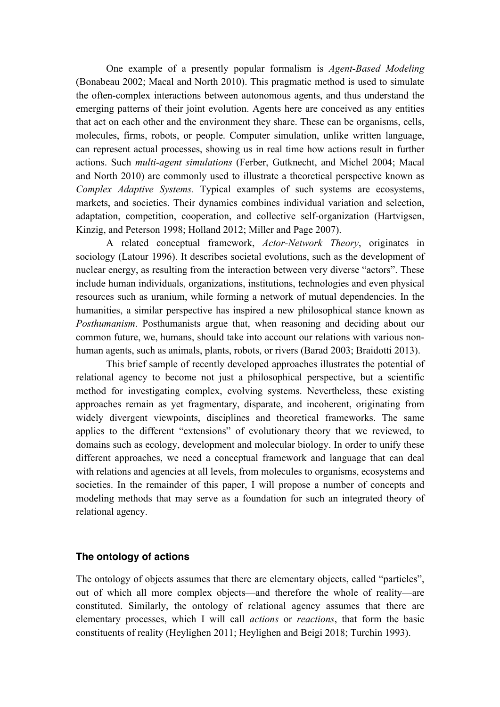One example of a presently popular formalism is *Agent-Based Modeling* (Bonabeau 2002; Macal and North 2010). This pragmatic method is used to simulate the often-complex interactions between autonomous agents, and thus understand the emerging patterns of their joint evolution. Agents here are conceived as any entities that act on each other and the environment they share. These can be organisms, cells, molecules, firms, robots, or people. Computer simulation, unlike written language, can represent actual processes, showing us in real time how actions result in further actions. Such *multi-agent simulations* (Ferber, Gutknecht, and Michel 2004; Macal and North 2010) are commonly used to illustrate a theoretical perspective known as *Complex Adaptive Systems.* Typical examples of such systems are ecosystems, markets, and societies. Their dynamics combines individual variation and selection, adaptation, competition, cooperation, and collective self-organization (Hartvigsen, Kinzig, and Peterson 1998; Holland 2012; Miller and Page 2007).

A related conceptual framework, *Actor-Network Theory*, originates in sociology (Latour 1996). It describes societal evolutions, such as the development of nuclear energy, as resulting from the interaction between very diverse "actors". These include human individuals, organizations, institutions, technologies and even physical resources such as uranium, while forming a network of mutual dependencies. In the humanities, a similar perspective has inspired a new philosophical stance known as *Posthumanism*. Posthumanists argue that, when reasoning and deciding about our common future, we, humans, should take into account our relations with various nonhuman agents, such as animals, plants, robots, or rivers (Barad 2003; Braidotti 2013).

This brief sample of recently developed approaches illustrates the potential of relational agency to become not just a philosophical perspective, but a scientific method for investigating complex, evolving systems. Nevertheless, these existing approaches remain as yet fragmentary, disparate, and incoherent, originating from widely divergent viewpoints, disciplines and theoretical frameworks. The same applies to the different "extensions" of evolutionary theory that we reviewed, to domains such as ecology, development and molecular biology. In order to unify these different approaches, we need a conceptual framework and language that can deal with relations and agencies at all levels, from molecules to organisms, ecosystems and societies. In the remainder of this paper, I will propose a number of concepts and modeling methods that may serve as a foundation for such an integrated theory of relational agency.

# **The ontology of actions**

The ontology of objects assumes that there are elementary objects, called "particles", out of which all more complex objects—and therefore the whole of reality—are constituted. Similarly, the ontology of relational agency assumes that there are elementary processes, which I will call *actions* or *reactions*, that form the basic constituents of reality (Heylighen 2011; Heylighen and Beigi 2018; Turchin 1993).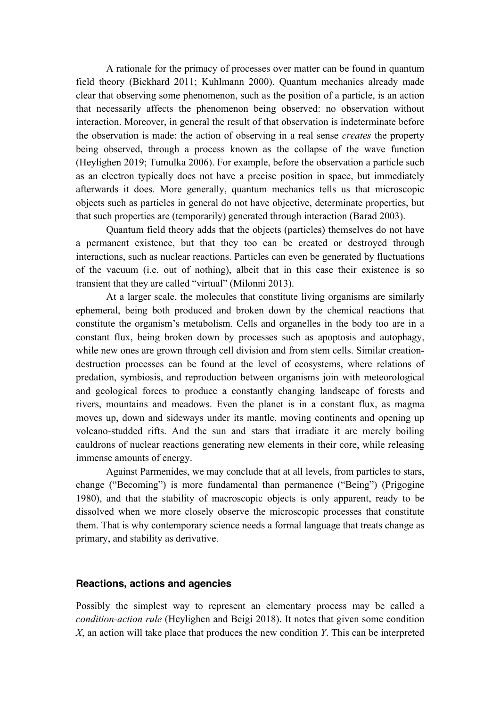A rationale for the primacy of processes over matter can be found in quantum field theory (Bickhard 2011; Kuhlmann 2000). Quantum mechanics already made clear that observing some phenomenon, such as the position of a particle, is an action that necessarily affects the phenomenon being observed: no observation without interaction. Moreover, in general the result of that observation is indeterminate before the observation is made: the action of observing in a real sense *creates* the property being observed, through a process known as the collapse of the wave function (Heylighen 2019; Tumulka 2006). For example, before the observation a particle such as an electron typically does not have a precise position in space, but immediately afterwards it does. More generally, quantum mechanics tells us that microscopic objects such as particles in general do not have objective, determinate properties, but that such properties are (temporarily) generated through interaction (Barad 2003).

Quantum field theory adds that the objects (particles) themselves do not have a permanent existence, but that they too can be created or destroyed through interactions, such as nuclear reactions. Particles can even be generated by fluctuations of the vacuum (i.e. out of nothing), albeit that in this case their existence is so transient that they are called "virtual" (Milonni 2013).

At a larger scale, the molecules that constitute living organisms are similarly ephemeral, being both produced and broken down by the chemical reactions that constitute the organism's metabolism. Cells and organelles in the body too are in a constant flux, being broken down by processes such as apoptosis and autophagy, while new ones are grown through cell division and from stem cells. Similar creationdestruction processes can be found at the level of ecosystems, where relations of predation, symbiosis, and reproduction between organisms join with meteorological and geological forces to produce a constantly changing landscape of forests and rivers, mountains and meadows. Even the planet is in a constant flux, as magma moves up, down and sideways under its mantle, moving continents and opening up volcano-studded rifts. And the sun and stars that irradiate it are merely boiling cauldrons of nuclear reactions generating new elements in their core, while releasing immense amounts of energy.

Against Parmenides, we may conclude that at all levels, from particles to stars, change ("Becoming") is more fundamental than permanence ("Being") (Prigogine 1980), and that the stability of macroscopic objects is only apparent, ready to be dissolved when we more closely observe the microscopic processes that constitute them. That is why contemporary science needs a formal language that treats change as primary, and stability as derivative.

#### **Reactions, actions and agencies**

Possibly the simplest way to represent an elementary process may be called a *condition-action rule* (Heylighen and Beigi 2018). It notes that given some condition *X*, an action will take place that produces the new condition *Y*. This can be interpreted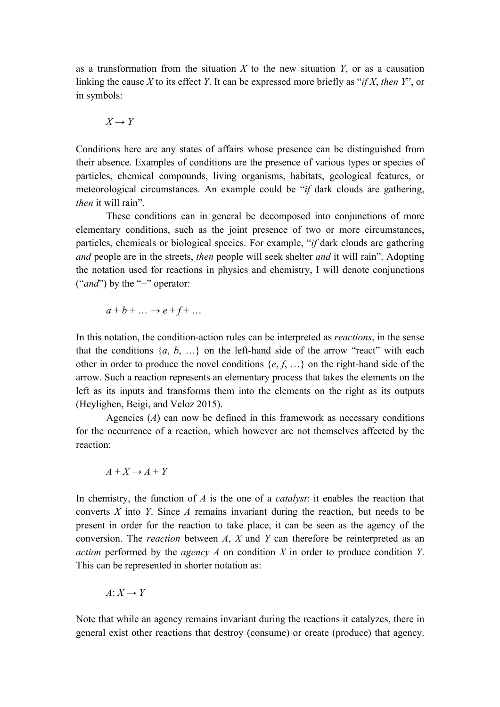as a transformation from the situation *X* to the new situation *Y*, or as a causation linking the cause *X* to its effect *Y*. It can be expressed more briefly as "*if X*, *then Y*", or in symbols:

$$
X \to Y
$$

Conditions here are any states of affairs whose presence can be distinguished from their absence. Examples of conditions are the presence of various types or species of particles, chemical compounds, living organisms, habitats, geological features, or meteorological circumstances. An example could be "*if* dark clouds are gathering, *then* it will rain".

These conditions can in general be decomposed into conjunctions of more elementary conditions, such as the joint presence of two or more circumstances, particles, chemicals or biological species. For example, "*if* dark clouds are gathering *and* people are in the streets, *then* people will seek shelter *and* it will rain". Adopting the notation used for reactions in physics and chemistry, I will denote conjunctions ("*and*") by the "+" operator:

 $a + b + \ldots \rightarrow e + f + \ldots$ 

In this notation, the condition-action rules can be interpreted as *reactions*, in the sense that the conditions  $\{a, b, \ldots\}$  on the left-hand side of the arrow "react" with each other in order to produce the novel conditions {*e*, *f*, …} on the right-hand side of the arrow. Such a reaction represents an elementary process that takes the elements on the left as its inputs and transforms them into the elements on the right as its outputs (Heylighen, Beigi, and Veloz 2015).

Agencies (*A*) can now be defined in this framework as necessary conditions for the occurrence of a reaction, which however are not themselves affected by the reaction:

$$
A + X \rightarrow A + Y
$$

In chemistry, the function of *A* is the one of a *catalyst*: it enables the reaction that converts *X* into *Y*. Since *A* remains invariant during the reaction, but needs to be present in order for the reaction to take place, it can be seen as the agency of the conversion. The *reaction* between *A*, *X* and *Y* can therefore be reinterpreted as an *action* performed by the *agency A* on condition *X* in order to produce condition *Y*. This can be represented in shorter notation as:

$$
A\colon X\to Y
$$

Note that while an agency remains invariant during the reactions it catalyzes, there in general exist other reactions that destroy (consume) or create (produce) that agency.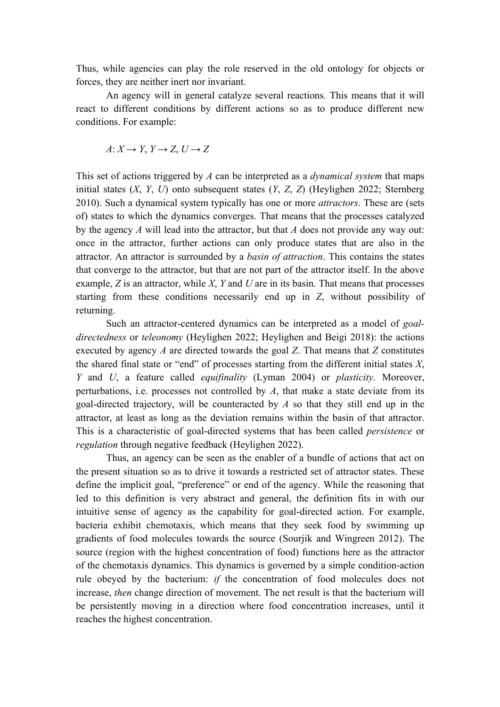Thus, while agencies can play the role reserved in the old ontology for objects or forces, they are neither inert nor invariant.

An agency will in general catalyze several reactions. This means that it will react to different conditions by different actions so as to produce different new conditions. For example:

$$
A: X \to Y, Y \to Z, U \to Z
$$

This set of actions triggered by *A* can be interpreted as a *dynamical system* that maps initial states (*X*, *Y*, *U*) onto subsequent states (*Y*, *Z*, *Z*) (Heylighen 2022; Sternberg 2010). Such a dynamical system typically has one or more *attractors*. These are (sets of) states to which the dynamics converges. That means that the processes catalyzed by the agency *A* will lead into the attractor, but that *A* does not provide any way out: once in the attractor, further actions can only produce states that are also in the attractor. An attractor is surrounded by a *basin of attraction*. This contains the states that converge to the attractor, but that are not part of the attractor itself. In the above example, *Z* is an attractor, while *X*, *Y* and *U* are in its basin. That means that processes starting from these conditions necessarily end up in *Z*, without possibility of returning.

Such an attractor-centered dynamics can be interpreted as a model of *goaldirectedness* or *teleonomy* (Heylighen 2022; Heylighen and Beigi 2018): the actions executed by agency *A* are directed towards the goal *Z*. That means that *Z* constitutes the shared final state or "end" of processes starting from the different initial states *X*, *Y* and *U*, a feature called *equifinality* (Lyman 2004) or *plasticity*. Moreover, perturbations, i.e. processes not controlled by *A*, that make a state deviate from its goal-directed trajectory, will be counteracted by *A* so that they still end up in the attractor, at least as long as the deviation remains within the basin of that attractor. This is a characteristic of goal-directed systems that has been called *persistence* or *regulation* through negative feedback (Heylighen 2022).

Thus, an agency can be seen as the enabler of a bundle of actions that act on the present situation so as to drive it towards a restricted set of attractor states. These define the implicit goal, "preference" or end of the agency. While the reasoning that led to this definition is very abstract and general, the definition fits in with our intuitive sense of agency as the capability for goal-directed action. For example, bacteria exhibit chemotaxis, which means that they seek food by swimming up gradients of food molecules towards the source (Sourjik and Wingreen 2012). The source (region with the highest concentration of food) functions here as the attractor of the chemotaxis dynamics. This dynamics is governed by a simple condition-action rule obeyed by the bacterium: *if* the concentration of food molecules does not increase, *then* change direction of movement. The net result is that the bacterium will be persistently moving in a direction where food concentration increases, until it reaches the highest concentration.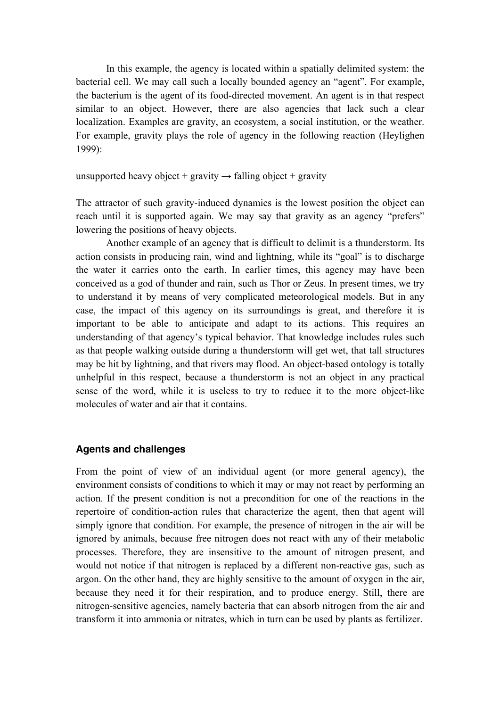In this example, the agency is located within a spatially delimited system: the bacterial cell. We may call such a locally bounded agency an "agent". For example, the bacterium is the agent of its food-directed movement. An agent is in that respect similar to an object. However, there are also agencies that lack such a clear localization. Examples are gravity, an ecosystem, a social institution, or the weather. For example, gravity plays the role of agency in the following reaction (Heylighen 1999):

unsupported heavy object + gravity  $\rightarrow$  falling object + gravity

The attractor of such gravity-induced dynamics is the lowest position the object can reach until it is supported again. We may say that gravity as an agency "prefers" lowering the positions of heavy objects.

Another example of an agency that is difficult to delimit is a thunderstorm. Its action consists in producing rain, wind and lightning, while its "goal" is to discharge the water it carries onto the earth. In earlier times, this agency may have been conceived as a god of thunder and rain, such as Thor or Zeus. In present times, we try to understand it by means of very complicated meteorological models. But in any case, the impact of this agency on its surroundings is great, and therefore it is important to be able to anticipate and adapt to its actions. This requires an understanding of that agency's typical behavior. That knowledge includes rules such as that people walking outside during a thunderstorm will get wet, that tall structures may be hit by lightning, and that rivers may flood. An object-based ontology is totally unhelpful in this respect, because a thunderstorm is not an object in any practical sense of the word, while it is useless to try to reduce it to the more object-like molecules of water and air that it contains.

# **Agents and challenges**

From the point of view of an individual agent (or more general agency), the environment consists of conditions to which it may or may not react by performing an action. If the present condition is not a precondition for one of the reactions in the repertoire of condition-action rules that characterize the agent, then that agent will simply ignore that condition. For example, the presence of nitrogen in the air will be ignored by animals, because free nitrogen does not react with any of their metabolic processes. Therefore, they are insensitive to the amount of nitrogen present, and would not notice if that nitrogen is replaced by a different non-reactive gas, such as argon. On the other hand, they are highly sensitive to the amount of oxygen in the air, because they need it for their respiration, and to produce energy. Still, there are nitrogen-sensitive agencies, namely bacteria that can absorb nitrogen from the air and transform it into ammonia or nitrates, which in turn can be used by plants as fertilizer.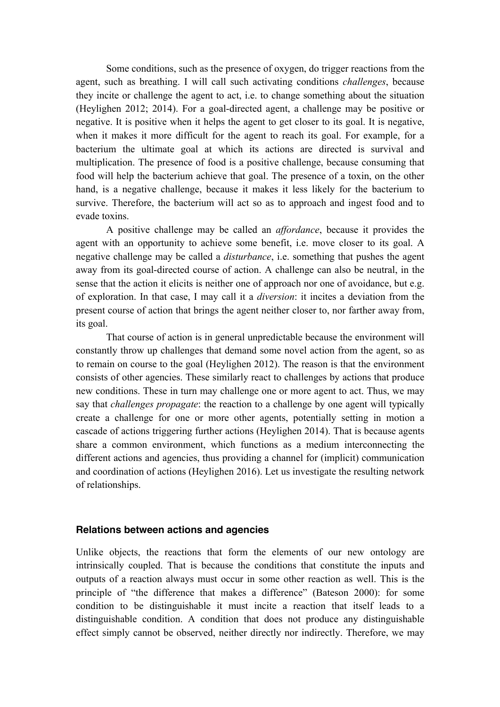Some conditions, such as the presence of oxygen, do trigger reactions from the agent, such as breathing. I will call such activating conditions *challenges*, because they incite or challenge the agent to act, i.e. to change something about the situation (Heylighen 2012; 2014). For a goal-directed agent, a challenge may be positive or negative. It is positive when it helps the agent to get closer to its goal. It is negative, when it makes it more difficult for the agent to reach its goal. For example, for a bacterium the ultimate goal at which its actions are directed is survival and multiplication. The presence of food is a positive challenge, because consuming that food will help the bacterium achieve that goal. The presence of a toxin, on the other hand, is a negative challenge, because it makes it less likely for the bacterium to survive. Therefore, the bacterium will act so as to approach and ingest food and to evade toxins.

A positive challenge may be called an *affordance*, because it provides the agent with an opportunity to achieve some benefit, i.e. move closer to its goal. A negative challenge may be called a *disturbance*, i.e. something that pushes the agent away from its goal-directed course of action. A challenge can also be neutral, in the sense that the action it elicits is neither one of approach nor one of avoidance, but e.g. of exploration. In that case, I may call it a *diversion*: it incites a deviation from the present course of action that brings the agent neither closer to, nor farther away from, its goal.

That course of action is in general unpredictable because the environment will constantly throw up challenges that demand some novel action from the agent, so as to remain on course to the goal (Heylighen 2012). The reason is that the environment consists of other agencies. These similarly react to challenges by actions that produce new conditions. These in turn may challenge one or more agent to act. Thus, we may say that *challenges propagate*: the reaction to a challenge by one agent will typically create a challenge for one or more other agents, potentially setting in motion a cascade of actions triggering further actions (Heylighen 2014). That is because agents share a common environment, which functions as a medium interconnecting the different actions and agencies, thus providing a channel for (implicit) communication and coordination of actions (Heylighen 2016). Let us investigate the resulting network of relationships.

#### **Relations between actions and agencies**

Unlike objects, the reactions that form the elements of our new ontology are intrinsically coupled. That is because the conditions that constitute the inputs and outputs of a reaction always must occur in some other reaction as well. This is the principle of "the difference that makes a difference" (Bateson 2000): for some condition to be distinguishable it must incite a reaction that itself leads to a distinguishable condition. A condition that does not produce any distinguishable effect simply cannot be observed, neither directly nor indirectly. Therefore, we may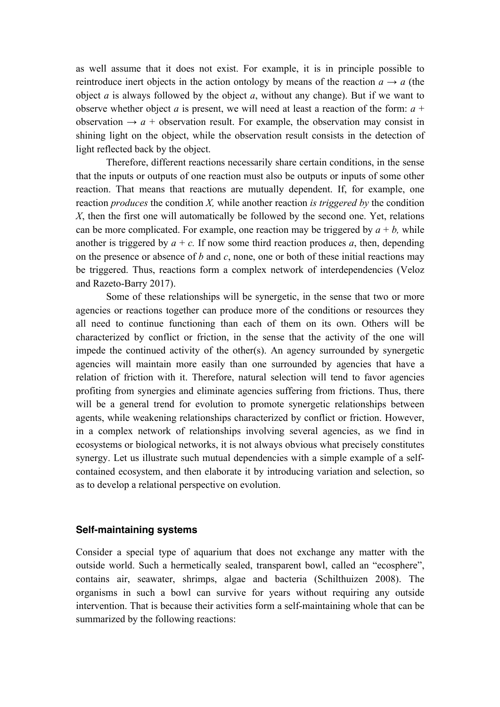as well assume that it does not exist. For example, it is in principle possible to reintroduce inert objects in the action ontology by means of the reaction  $a \rightarrow a$  (the object *a* is always followed by the object *a*, without any change). But if we want to observe whether object *a* is present, we will need at least a reaction of the form:  $a +$ observation  $\rightarrow a +$  observation result. For example, the observation may consist in shining light on the object, while the observation result consists in the detection of light reflected back by the object.

Therefore, different reactions necessarily share certain conditions, in the sense that the inputs or outputs of one reaction must also be outputs or inputs of some other reaction. That means that reactions are mutually dependent. If, for example, one reaction *produces* the condition *X,* while another reaction *is triggered by* the condition *X*, then the first one will automatically be followed by the second one. Yet, relations can be more complicated. For example, one reaction may be triggered by  $a + b$ , while another is triggered by  $a + c$ . If now some third reaction produces a, then, depending on the presence or absence of *b* and *c*, none, one or both of these initial reactions may be triggered. Thus, reactions form a complex network of interdependencies (Veloz and Razeto-Barry 2017).

Some of these relationships will be synergetic, in the sense that two or more agencies or reactions together can produce more of the conditions or resources they all need to continue functioning than each of them on its own. Others will be characterized by conflict or friction, in the sense that the activity of the one will impede the continued activity of the other(s). An agency surrounded by synergetic agencies will maintain more easily than one surrounded by agencies that have a relation of friction with it. Therefore, natural selection will tend to favor agencies profiting from synergies and eliminate agencies suffering from frictions. Thus, there will be a general trend for evolution to promote synergetic relationships between agents, while weakening relationships characterized by conflict or friction. However, in a complex network of relationships involving several agencies, as we find in ecosystems or biological networks, it is not always obvious what precisely constitutes synergy. Let us illustrate such mutual dependencies with a simple example of a selfcontained ecosystem, and then elaborate it by introducing variation and selection, so as to develop a relational perspective on evolution.

#### **Self-maintaining systems**

Consider a special type of aquarium that does not exchange any matter with the outside world. Such a hermetically sealed, transparent bowl, called an "ecosphere", contains air, seawater, shrimps, algae and bacteria (Schilthuizen 2008). The organisms in such a bowl can survive for years without requiring any outside intervention. That is because their activities form a self-maintaining whole that can be summarized by the following reactions: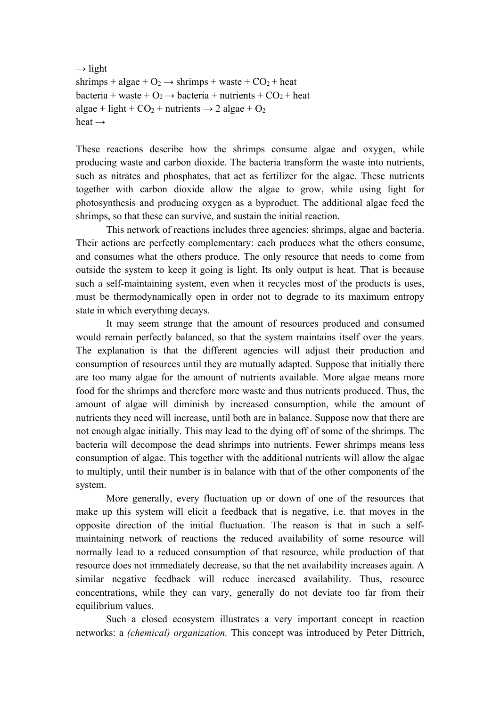```
\rightarrow light
shrimps + algae + O_2 \rightarrow shrimps + waste + CO_2 + heat
bacteria + waste + O_2 \rightarrow bacteria + nutrients + CO_2 + heat
algae + light + CO<sub>2</sub> + nutrients \rightarrow 2 algae + O<sub>2</sub>heat \rightarrow
```
These reactions describe how the shrimps consume algae and oxygen, while producing waste and carbon dioxide. The bacteria transform the waste into nutrients, such as nitrates and phosphates, that act as fertilizer for the algae. These nutrients together with carbon dioxide allow the algae to grow, while using light for photosynthesis and producing oxygen as a byproduct. The additional algae feed the shrimps, so that these can survive, and sustain the initial reaction.

This network of reactions includes three agencies: shrimps, algae and bacteria. Their actions are perfectly complementary: each produces what the others consume, and consumes what the others produce. The only resource that needs to come from outside the system to keep it going is light. Its only output is heat. That is because such a self-maintaining system, even when it recycles most of the products is uses, must be thermodynamically open in order not to degrade to its maximum entropy state in which everything decays.

It may seem strange that the amount of resources produced and consumed would remain perfectly balanced, so that the system maintains itself over the years. The explanation is that the different agencies will adjust their production and consumption of resources until they are mutually adapted. Suppose that initially there are too many algae for the amount of nutrients available. More algae means more food for the shrimps and therefore more waste and thus nutrients produced. Thus, the amount of algae will diminish by increased consumption, while the amount of nutrients they need will increase, until both are in balance. Suppose now that there are not enough algae initially. This may lead to the dying off of some of the shrimps. The bacteria will decompose the dead shrimps into nutrients. Fewer shrimps means less consumption of algae. This together with the additional nutrients will allow the algae to multiply, until their number is in balance with that of the other components of the system.

More generally, every fluctuation up or down of one of the resources that make up this system will elicit a feedback that is negative, i.e. that moves in the opposite direction of the initial fluctuation. The reason is that in such a selfmaintaining network of reactions the reduced availability of some resource will normally lead to a reduced consumption of that resource, while production of that resource does not immediately decrease, so that the net availability increases again. A similar negative feedback will reduce increased availability. Thus, resource concentrations, while they can vary, generally do not deviate too far from their equilibrium values.

Such a closed ecosystem illustrates a very important concept in reaction networks: a *(chemical) organization.* This concept was introduced by Peter Dittrich,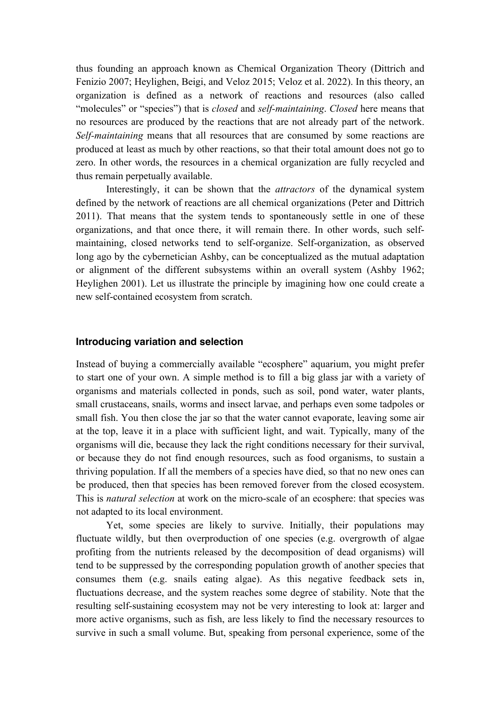thus founding an approach known as Chemical Organization Theory (Dittrich and Fenizio 2007; Heylighen, Beigi, and Veloz 2015; Veloz et al. 2022). In this theory, an organization is defined as a network of reactions and resources (also called "molecules" or "species") that is *closed* and *self-maintaining*. *Closed* here means that no resources are produced by the reactions that are not already part of the network. *Self-maintaining* means that all resources that are consumed by some reactions are produced at least as much by other reactions, so that their total amount does not go to zero. In other words, the resources in a chemical organization are fully recycled and thus remain perpetually available.

Interestingly, it can be shown that the *attractors* of the dynamical system defined by the network of reactions are all chemical organizations (Peter and Dittrich 2011). That means that the system tends to spontaneously settle in one of these organizations, and that once there, it will remain there. In other words, such selfmaintaining, closed networks tend to self-organize. Self-organization, as observed long ago by the cybernetician Ashby, can be conceptualized as the mutual adaptation or alignment of the different subsystems within an overall system (Ashby 1962; Heylighen 2001). Let us illustrate the principle by imagining how one could create a new self-contained ecosystem from scratch.

### **Introducing variation and selection**

Instead of buying a commercially available "ecosphere" aquarium, you might prefer to start one of your own. A simple method is to fill a big glass jar with a variety of organisms and materials collected in ponds, such as soil, pond water, water plants, small crustaceans, snails, worms and insect larvae, and perhaps even some tadpoles or small fish. You then close the jar so that the water cannot evaporate, leaving some air at the top, leave it in a place with sufficient light, and wait. Typically, many of the organisms will die, because they lack the right conditions necessary for their survival, or because they do not find enough resources, such as food organisms, to sustain a thriving population. If all the members of a species have died, so that no new ones can be produced, then that species has been removed forever from the closed ecosystem. This is *natural selection* at work on the micro-scale of an ecosphere: that species was not adapted to its local environment.

Yet, some species are likely to survive. Initially, their populations may fluctuate wildly, but then overproduction of one species (e.g. overgrowth of algae profiting from the nutrients released by the decomposition of dead organisms) will tend to be suppressed by the corresponding population growth of another species that consumes them (e.g. snails eating algae). As this negative feedback sets in, fluctuations decrease, and the system reaches some degree of stability. Note that the resulting self-sustaining ecosystem may not be very interesting to look at: larger and more active organisms, such as fish, are less likely to find the necessary resources to survive in such a small volume. But, speaking from personal experience, some of the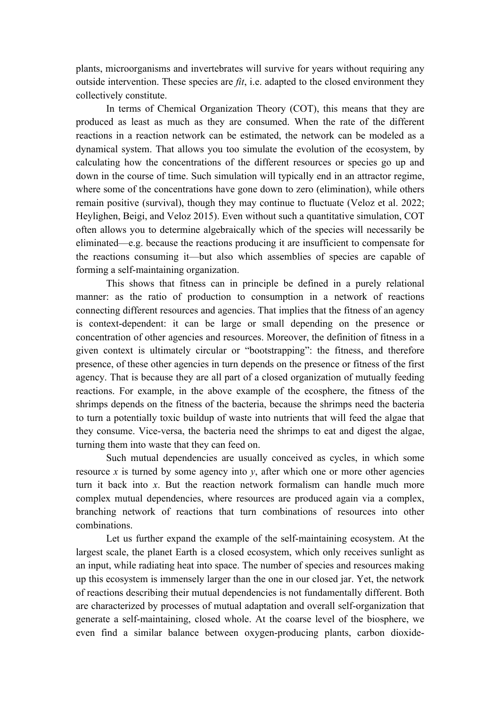plants, microorganisms and invertebrates will survive for years without requiring any outside intervention. These species are *fit*, i.e. adapted to the closed environment they collectively constitute.

In terms of Chemical Organization Theory (COT), this means that they are produced as least as much as they are consumed. When the rate of the different reactions in a reaction network can be estimated, the network can be modeled as a dynamical system. That allows you too simulate the evolution of the ecosystem, by calculating how the concentrations of the different resources or species go up and down in the course of time. Such simulation will typically end in an attractor regime, where some of the concentrations have gone down to zero (elimination), while others remain positive (survival), though they may continue to fluctuate (Veloz et al. 2022; Heylighen, Beigi, and Veloz 2015). Even without such a quantitative simulation, COT often allows you to determine algebraically which of the species will necessarily be eliminated—e.g. because the reactions producing it are insufficient to compensate for the reactions consuming it—but also which assemblies of species are capable of forming a self-maintaining organization.

This shows that fitness can in principle be defined in a purely relational manner: as the ratio of production to consumption in a network of reactions connecting different resources and agencies. That implies that the fitness of an agency is context-dependent: it can be large or small depending on the presence or concentration of other agencies and resources. Moreover, the definition of fitness in a given context is ultimately circular or "bootstrapping": the fitness, and therefore presence, of these other agencies in turn depends on the presence or fitness of the first agency. That is because they are all part of a closed organization of mutually feeding reactions. For example, in the above example of the ecosphere, the fitness of the shrimps depends on the fitness of the bacteria, because the shrimps need the bacteria to turn a potentially toxic buildup of waste into nutrients that will feed the algae that they consume. Vice-versa, the bacteria need the shrimps to eat and digest the algae, turning them into waste that they can feed on.

Such mutual dependencies are usually conceived as cycles, in which some resource  $x$  is turned by some agency into  $y$ , after which one or more other agencies turn it back into *x*. But the reaction network formalism can handle much more complex mutual dependencies, where resources are produced again via a complex, branching network of reactions that turn combinations of resources into other combinations.

Let us further expand the example of the self-maintaining ecosystem. At the largest scale, the planet Earth is a closed ecosystem, which only receives sunlight as an input, while radiating heat into space. The number of species and resources making up this ecosystem is immensely larger than the one in our closed jar. Yet, the network of reactions describing their mutual dependencies is not fundamentally different. Both are characterized by processes of mutual adaptation and overall self-organization that generate a self-maintaining, closed whole. At the coarse level of the biosphere, we even find a similar balance between oxygen-producing plants, carbon dioxide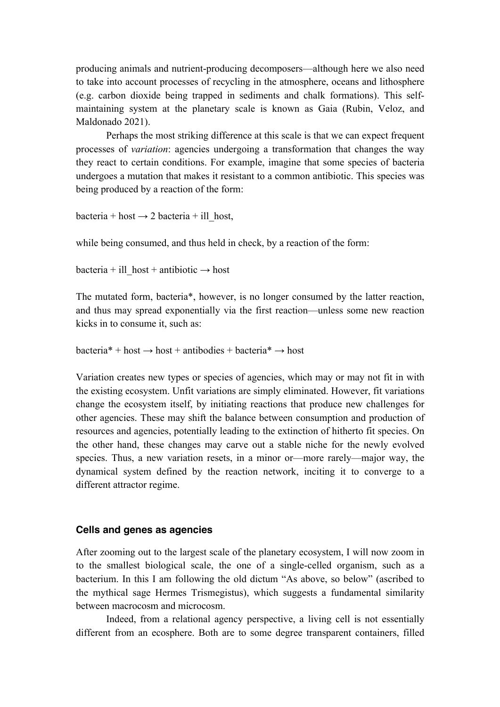producing animals and nutrient-producing decomposers—although here we also need to take into account processes of recycling in the atmosphere, oceans and lithosphere (e.g. carbon dioxide being trapped in sediments and chalk formations). This selfmaintaining system at the planetary scale is known as Gaia (Rubin, Veloz, and Maldonado 2021).

Perhaps the most striking difference at this scale is that we can expect frequent processes of *variation*: agencies undergoing a transformation that changes the way they react to certain conditions. For example, imagine that some species of bacteria undergoes a mutation that makes it resistant to a common antibiotic. This species was being produced by a reaction of the form:

bacteria + host  $\rightarrow$  2 bacteria + ill host,

while being consumed, and thus held in check, by a reaction of the form:

bacteria + ill host + antibiotic  $\rightarrow$  host

The mutated form, bacteria\*, however, is no longer consumed by the latter reaction, and thus may spread exponentially via the first reaction—unless some new reaction kicks in to consume it, such as:

bacteria\* + host  $\rightarrow$  host + antibodies + bacteria\*  $\rightarrow$  host

Variation creates new types or species of agencies, which may or may not fit in with the existing ecosystem. Unfit variations are simply eliminated. However, fit variations change the ecosystem itself, by initiating reactions that produce new challenges for other agencies. These may shift the balance between consumption and production of resources and agencies, potentially leading to the extinction of hitherto fit species. On the other hand, these changes may carve out a stable niche for the newly evolved species. Thus, a new variation resets, in a minor or—more rarely—major way, the dynamical system defined by the reaction network, inciting it to converge to a different attractor regime.

# **Cells and genes as agencies**

After zooming out to the largest scale of the planetary ecosystem, I will now zoom in to the smallest biological scale, the one of a single-celled organism, such as a bacterium. In this I am following the old dictum "As above, so below" (ascribed to the mythical sage Hermes Trismegistus), which suggests a fundamental similarity between macrocosm and microcosm.

Indeed, from a relational agency perspective, a living cell is not essentially different from an ecosphere. Both are to some degree transparent containers, filled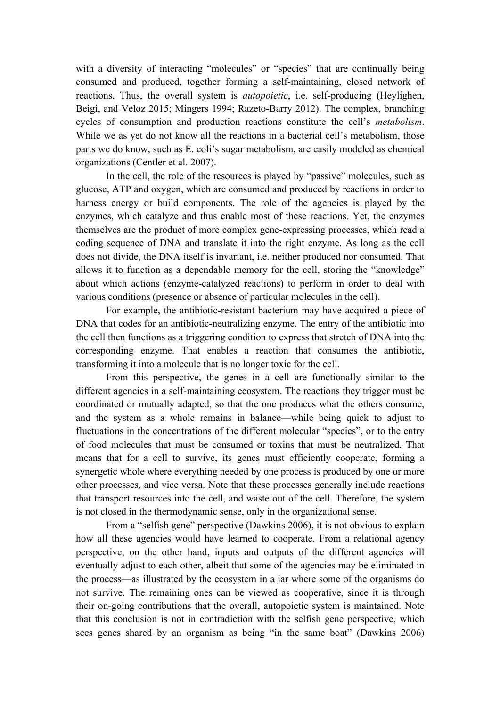with a diversity of interacting "molecules" or "species" that are continually being consumed and produced, together forming a self-maintaining, closed network of reactions. Thus, the overall system is *autopoietic*, i.e. self-producing (Heylighen, Beigi, and Veloz 2015; Mingers 1994; Razeto-Barry 2012). The complex, branching cycles of consumption and production reactions constitute the cell's *metabolism*. While we as yet do not know all the reactions in a bacterial cell's metabolism, those parts we do know, such as E. coli's sugar metabolism, are easily modeled as chemical organizations (Centler et al. 2007).

In the cell, the role of the resources is played by "passive" molecules, such as glucose, ATP and oxygen, which are consumed and produced by reactions in order to harness energy or build components. The role of the agencies is played by the enzymes, which catalyze and thus enable most of these reactions. Yet, the enzymes themselves are the product of more complex gene-expressing processes, which read a coding sequence of DNA and translate it into the right enzyme. As long as the cell does not divide, the DNA itself is invariant, i.e. neither produced nor consumed. That allows it to function as a dependable memory for the cell, storing the "knowledge" about which actions (enzyme-catalyzed reactions) to perform in order to deal with various conditions (presence or absence of particular molecules in the cell).

For example, the antibiotic-resistant bacterium may have acquired a piece of DNA that codes for an antibiotic-neutralizing enzyme. The entry of the antibiotic into the cell then functions as a triggering condition to express that stretch of DNA into the corresponding enzyme. That enables a reaction that consumes the antibiotic, transforming it into a molecule that is no longer toxic for the cell.

From this perspective, the genes in a cell are functionally similar to the different agencies in a self-maintaining ecosystem. The reactions they trigger must be coordinated or mutually adapted, so that the one produces what the others consume, and the system as a whole remains in balance—while being quick to adjust to fluctuations in the concentrations of the different molecular "species", or to the entry of food molecules that must be consumed or toxins that must be neutralized. That means that for a cell to survive, its genes must efficiently cooperate, forming a synergetic whole where everything needed by one process is produced by one or more other processes, and vice versa. Note that these processes generally include reactions that transport resources into the cell, and waste out of the cell. Therefore, the system is not closed in the thermodynamic sense, only in the organizational sense.

From a "selfish gene" perspective (Dawkins 2006), it is not obvious to explain how all these agencies would have learned to cooperate. From a relational agency perspective, on the other hand, inputs and outputs of the different agencies will eventually adjust to each other, albeit that some of the agencies may be eliminated in the process—as illustrated by the ecosystem in a jar where some of the organisms do not survive. The remaining ones can be viewed as cooperative, since it is through their on-going contributions that the overall, autopoietic system is maintained. Note that this conclusion is not in contradiction with the selfish gene perspective, which sees genes shared by an organism as being "in the same boat" (Dawkins 2006)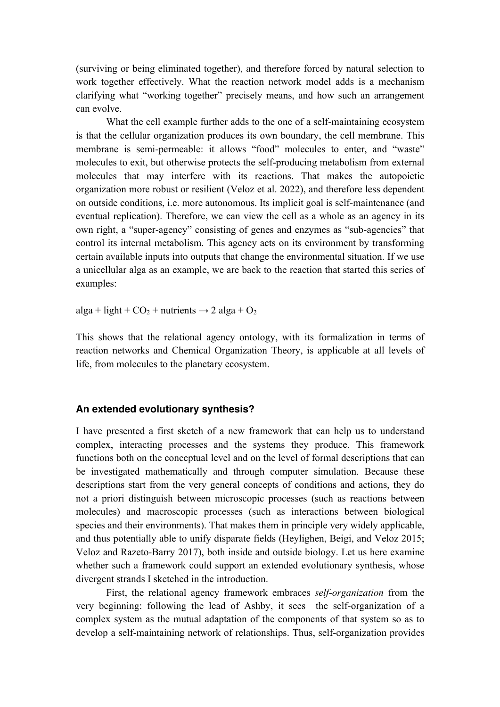(surviving or being eliminated together), and therefore forced by natural selection to work together effectively. What the reaction network model adds is a mechanism clarifying what "working together" precisely means, and how such an arrangement can evolve.

What the cell example further adds to the one of a self-maintaining ecosystem is that the cellular organization produces its own boundary, the cell membrane. This membrane is semi-permeable: it allows "food" molecules to enter, and "waste" molecules to exit, but otherwise protects the self-producing metabolism from external molecules that may interfere with its reactions. That makes the autopoietic organization more robust or resilient (Veloz et al. 2022), and therefore less dependent on outside conditions, i.e. more autonomous. Its implicit goal is self-maintenance (and eventual replication). Therefore, we can view the cell as a whole as an agency in its own right, a "super-agency" consisting of genes and enzymes as "sub-agencies" that control its internal metabolism. This agency acts on its environment by transforming certain available inputs into outputs that change the environmental situation. If we use a unicellular alga as an example, we are back to the reaction that started this series of examples:

 $a\log a$  + light + CO<sub>2</sub> + nutrients  $\rightarrow$  2 alga + O<sub>2</sub>

This shows that the relational agency ontology, with its formalization in terms of reaction networks and Chemical Organization Theory, is applicable at all levels of life, from molecules to the planetary ecosystem.

# **An extended evolutionary synthesis?**

I have presented a first sketch of a new framework that can help us to understand complex, interacting processes and the systems they produce. This framework functions both on the conceptual level and on the level of formal descriptions that can be investigated mathematically and through computer simulation. Because these descriptions start from the very general concepts of conditions and actions, they do not a priori distinguish between microscopic processes (such as reactions between molecules) and macroscopic processes (such as interactions between biological species and their environments). That makes them in principle very widely applicable, and thus potentially able to unify disparate fields (Heylighen, Beigi, and Veloz 2015; Veloz and Razeto-Barry 2017), both inside and outside biology. Let us here examine whether such a framework could support an extended evolutionary synthesis, whose divergent strands I sketched in the introduction.

First, the relational agency framework embraces *self-organization* from the very beginning: following the lead of Ashby, it sees the self-organization of a complex system as the mutual adaptation of the components of that system so as to develop a self-maintaining network of relationships. Thus, self-organization provides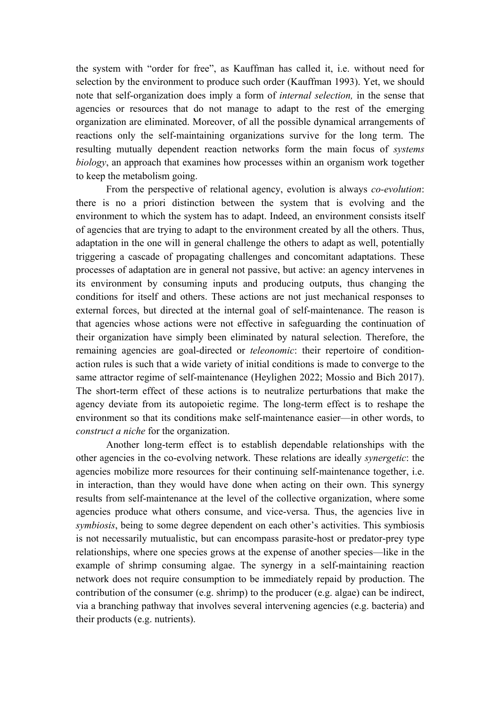the system with "order for free", as Kauffman has called it, i.e. without need for selection by the environment to produce such order (Kauffman 1993). Yet, we should note that self-organization does imply a form of *internal selection,* in the sense that agencies or resources that do not manage to adapt to the rest of the emerging organization are eliminated. Moreover, of all the possible dynamical arrangements of reactions only the self-maintaining organizations survive for the long term. The resulting mutually dependent reaction networks form the main focus of *systems biology*, an approach that examines how processes within an organism work together to keep the metabolism going.

From the perspective of relational agency, evolution is always *co-evolution*: there is no a priori distinction between the system that is evolving and the environment to which the system has to adapt. Indeed, an environment consists itself of agencies that are trying to adapt to the environment created by all the others. Thus, adaptation in the one will in general challenge the others to adapt as well, potentially triggering a cascade of propagating challenges and concomitant adaptations. These processes of adaptation are in general not passive, but active: an agency intervenes in its environment by consuming inputs and producing outputs, thus changing the conditions for itself and others. These actions are not just mechanical responses to external forces, but directed at the internal goal of self-maintenance. The reason is that agencies whose actions were not effective in safeguarding the continuation of their organization have simply been eliminated by natural selection. Therefore, the remaining agencies are goal-directed or *teleonomic*: their repertoire of conditionaction rules is such that a wide variety of initial conditions is made to converge to the same attractor regime of self-maintenance (Heylighen 2022; Mossio and Bich 2017). The short-term effect of these actions is to neutralize perturbations that make the agency deviate from its autopoietic regime. The long-term effect is to reshape the environment so that its conditions make self-maintenance easier—in other words, to *construct a niche* for the organization.

Another long-term effect is to establish dependable relationships with the other agencies in the co-evolving network. These relations are ideally *synergetic*: the agencies mobilize more resources for their continuing self-maintenance together, i.e. in interaction, than they would have done when acting on their own. This synergy results from self-maintenance at the level of the collective organization, where some agencies produce what others consume, and vice-versa. Thus, the agencies live in *symbiosis*, being to some degree dependent on each other's activities. This symbiosis is not necessarily mutualistic, but can encompass parasite-host or predator-prey type relationships, where one species grows at the expense of another species—like in the example of shrimp consuming algae. The synergy in a self-maintaining reaction network does not require consumption to be immediately repaid by production. The contribution of the consumer (e.g. shrimp) to the producer (e.g. algae) can be indirect, via a branching pathway that involves several intervening agencies (e.g. bacteria) and their products (e.g. nutrients).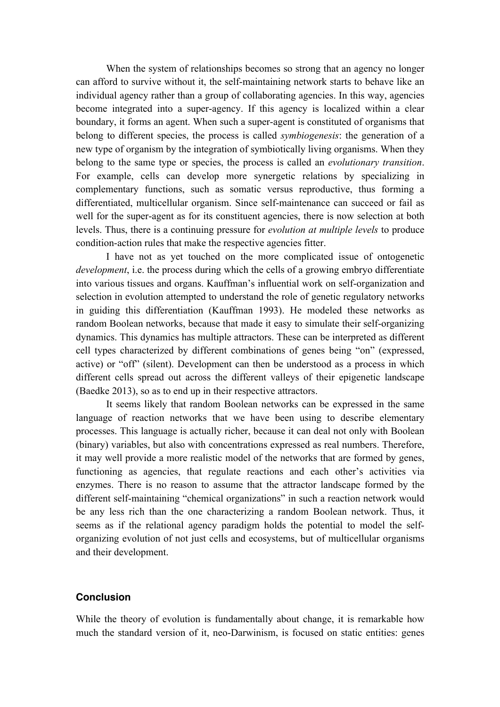When the system of relationships becomes so strong that an agency no longer can afford to survive without it, the self-maintaining network starts to behave like an individual agency rather than a group of collaborating agencies. In this way, agencies become integrated into a super-agency. If this agency is localized within a clear boundary, it forms an agent. When such a super-agent is constituted of organisms that belong to different species, the process is called *symbiogenesis*: the generation of a new type of organism by the integration of symbiotically living organisms. When they belong to the same type or species, the process is called an *evolutionary transition*. For example, cells can develop more synergetic relations by specializing in complementary functions, such as somatic versus reproductive, thus forming a differentiated, multicellular organism. Since self-maintenance can succeed or fail as well for the super-agent as for its constituent agencies, there is now selection at both levels. Thus, there is a continuing pressure for *evolution at multiple levels* to produce condition-action rules that make the respective agencies fitter.

I have not as yet touched on the more complicated issue of ontogenetic *development*, i.e. the process during which the cells of a growing embryo differentiate into various tissues and organs. Kauffman's influential work on self-organization and selection in evolution attempted to understand the role of genetic regulatory networks in guiding this differentiation (Kauffman 1993). He modeled these networks as random Boolean networks, because that made it easy to simulate their self-organizing dynamics. This dynamics has multiple attractors. These can be interpreted as different cell types characterized by different combinations of genes being "on" (expressed, active) or "off" (silent). Development can then be understood as a process in which different cells spread out across the different valleys of their epigenetic landscape (Baedke 2013), so as to end up in their respective attractors.

It seems likely that random Boolean networks can be expressed in the same language of reaction networks that we have been using to describe elementary processes. This language is actually richer, because it can deal not only with Boolean (binary) variables, but also with concentrations expressed as real numbers. Therefore, it may well provide a more realistic model of the networks that are formed by genes, functioning as agencies, that regulate reactions and each other's activities via enzymes. There is no reason to assume that the attractor landscape formed by the different self-maintaining "chemical organizations" in such a reaction network would be any less rich than the one characterizing a random Boolean network. Thus, it seems as if the relational agency paradigm holds the potential to model the selforganizing evolution of not just cells and ecosystems, but of multicellular organisms and their development.

# **Conclusion**

While the theory of evolution is fundamentally about change, it is remarkable how much the standard version of it, neo-Darwinism, is focused on static entities: genes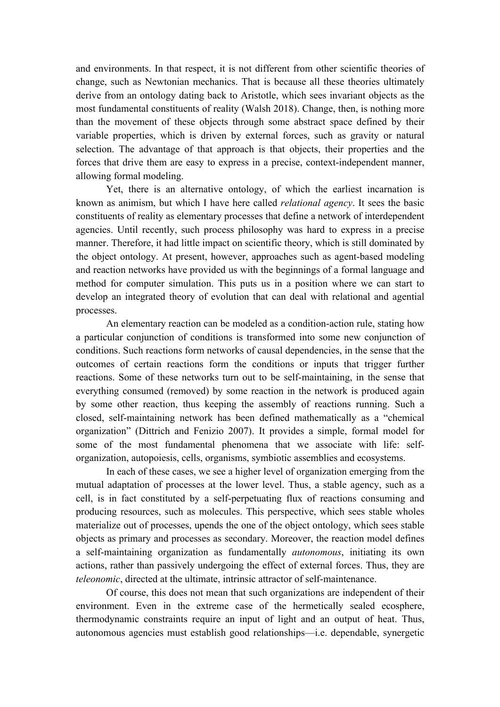and environments. In that respect, it is not different from other scientific theories of change, such as Newtonian mechanics. That is because all these theories ultimately derive from an ontology dating back to Aristotle, which sees invariant objects as the most fundamental constituents of reality (Walsh 2018). Change, then, is nothing more than the movement of these objects through some abstract space defined by their variable properties, which is driven by external forces, such as gravity or natural selection. The advantage of that approach is that objects, their properties and the forces that drive them are easy to express in a precise, context-independent manner, allowing formal modeling.

Yet, there is an alternative ontology, of which the earliest incarnation is known as animism, but which I have here called *relational agency*. It sees the basic constituents of reality as elementary processes that define a network of interdependent agencies. Until recently, such process philosophy was hard to express in a precise manner. Therefore, it had little impact on scientific theory, which is still dominated by the object ontology. At present, however, approaches such as agent-based modeling and reaction networks have provided us with the beginnings of a formal language and method for computer simulation. This puts us in a position where we can start to develop an integrated theory of evolution that can deal with relational and agential processes.

An elementary reaction can be modeled as a condition-action rule, stating how a particular conjunction of conditions is transformed into some new conjunction of conditions. Such reactions form networks of causal dependencies, in the sense that the outcomes of certain reactions form the conditions or inputs that trigger further reactions. Some of these networks turn out to be self-maintaining, in the sense that everything consumed (removed) by some reaction in the network is produced again by some other reaction, thus keeping the assembly of reactions running. Such a closed, self-maintaining network has been defined mathematically as a "chemical organization" (Dittrich and Fenizio 2007). It provides a simple, formal model for some of the most fundamental phenomena that we associate with life: selforganization, autopoiesis, cells, organisms, symbiotic assemblies and ecosystems.

In each of these cases, we see a higher level of organization emerging from the mutual adaptation of processes at the lower level. Thus, a stable agency, such as a cell, is in fact constituted by a self-perpetuating flux of reactions consuming and producing resources, such as molecules. This perspective, which sees stable wholes materialize out of processes, upends the one of the object ontology, which sees stable objects as primary and processes as secondary. Moreover, the reaction model defines a self-maintaining organization as fundamentally *autonomous*, initiating its own actions, rather than passively undergoing the effect of external forces. Thus, they are *teleonomic*, directed at the ultimate, intrinsic attractor of self-maintenance.

Of course, this does not mean that such organizations are independent of their environment. Even in the extreme case of the hermetically sealed ecosphere, thermodynamic constraints require an input of light and an output of heat. Thus, autonomous agencies must establish good relationships—i.e. dependable, synergetic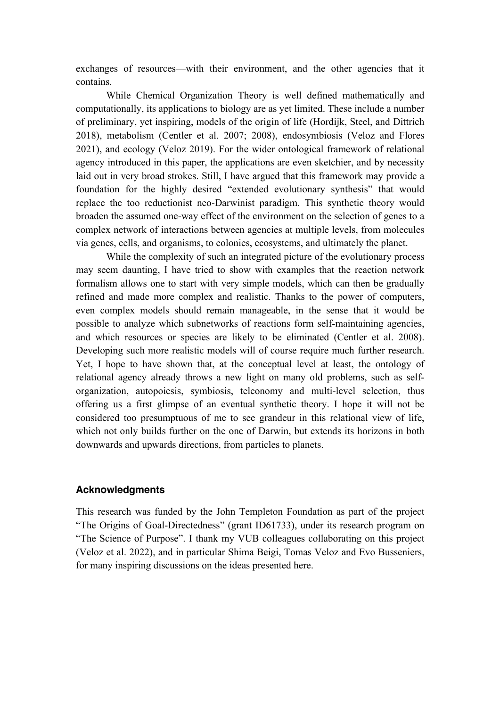exchanges of resources—with their environment, and the other agencies that it contains.

While Chemical Organization Theory is well defined mathematically and computationally, its applications to biology are as yet limited. These include a number of preliminary, yet inspiring, models of the origin of life (Hordijk, Steel, and Dittrich 2018), metabolism (Centler et al. 2007; 2008), endosymbiosis (Veloz and Flores 2021), and ecology (Veloz 2019). For the wider ontological framework of relational agency introduced in this paper, the applications are even sketchier, and by necessity laid out in very broad strokes. Still, I have argued that this framework may provide a foundation for the highly desired "extended evolutionary synthesis" that would replace the too reductionist neo-Darwinist paradigm. This synthetic theory would broaden the assumed one-way effect of the environment on the selection of genes to a complex network of interactions between agencies at multiple levels, from molecules via genes, cells, and organisms, to colonies, ecosystems, and ultimately the planet.

While the complexity of such an integrated picture of the evolutionary process may seem daunting, I have tried to show with examples that the reaction network formalism allows one to start with very simple models, which can then be gradually refined and made more complex and realistic. Thanks to the power of computers, even complex models should remain manageable, in the sense that it would be possible to analyze which subnetworks of reactions form self-maintaining agencies, and which resources or species are likely to be eliminated (Centler et al. 2008). Developing such more realistic models will of course require much further research. Yet, I hope to have shown that, at the conceptual level at least, the ontology of relational agency already throws a new light on many old problems, such as selforganization, autopoiesis, symbiosis, teleonomy and multi-level selection, thus offering us a first glimpse of an eventual synthetic theory. I hope it will not be considered too presumptuous of me to see grandeur in this relational view of life, which not only builds further on the one of Darwin, but extends its horizons in both downwards and upwards directions, from particles to planets.

# **Acknowledgments**

This research was funded by the John Templeton Foundation as part of the project "The Origins of Goal-Directedness" (grant ID61733), under its research program on "The Science of Purpose". I thank my VUB colleagues collaborating on this project (Veloz et al. 2022), and in particular Shima Beigi, Tomas Veloz and Evo Busseniers, for many inspiring discussions on the ideas presented here.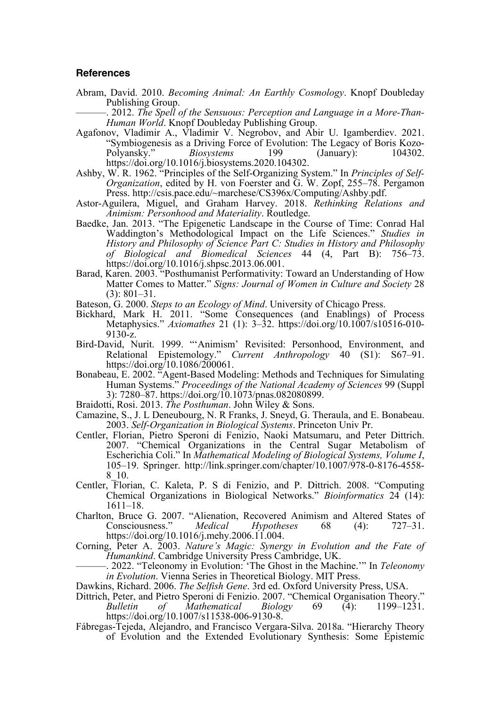#### **References**

Abram, David. 2010. *Becoming Animal: An Earthly Cosmology*. Knopf Doubleday Publishing Group.

. 2012. *The Spell of the Sensuous: Perception and Language in a More-Than-Human World*. Knopf Doubleday Publishing Group.

- Agafonov, Vladimir A., Vladimir V. Negrobov, and Abir U. Igamberdiev. 2021. "Symbiogenesis as a Driving Force of Evolution: The Legacy of Boris Kozo-Polyansky." *Biosystems* 199 (January): 104302. https://doi.org/10.1016/j.biosystems.2020.104302.
- Ashby, W. R. 1962. "Principles of the Self-Organizing System." In *Principles of Self-Organization*, edited by H. von Foerster and G. W. Zopf, 255–78. Pergamon Press. http://csis.pace.edu/~marchese/CS396x/Computing/Ashby.pdf.
- Astor-Aguilera, Miguel, and Graham Harvey. 2018. *Rethinking Relations and Animism: Personhood and Materiality*. Routledge.
- Baedke, Jan. 2013. "The Epigenetic Landscape in the Course of Time: Conrad Hal Waddington's Methodological Impact on the Life Sciences." *Studies in History and Philosophy of Science Part C: Studies in History and Philosophy of Biological and Biomedical Sciences* 44 (4, Part B): 756–73. https://doi.org/10.1016/j.shpsc.2013.06.001.
- Barad, Karen. 2003. "Posthumanist Performativity: Toward an Understanding of How Matter Comes to Matter." *Signs: Journal of Women in Culture and Society* 28 (3): 801–31.

Bateson, G. 2000. *Steps to an Ecology of Mind*. University of Chicago Press.

- Bickhard, Mark H. 2011. "Some Consequences (and Enablings) of Process Metaphysics." *Axiomathes* 21 (1): 3–32. https://doi.org/10.1007/s10516-010- 9130-z.
- Bird-David, Nurit. 1999. "'Animism' Revisited: Personhood, Environment, and Relational Epistemology." *Current Anthropology* 40 (S1): S67–91. https://doi.org/10.1086/200061.
- Bonabeau, E. 2002. "Agent-Based Modeling: Methods and Techniques for Simulating Human Systems." *Proceedings of the National Academy of Sciences* 99 (Suppl 3): 7280–87. https://doi.org/10.1073/pnas.082080899.
- Braidotti, Rosi. 2013. *The Posthuman*. John Wiley & Sons.
- Camazine, S., J. L Deneubourg, N. R Franks, J. Sneyd, G. Theraula, and E. Bonabeau. 2003. *Self-Organization in Biological Systems*. Princeton Univ Pr.
- Centler, Florian, Pietro Speroni di Fenizio, Naoki Matsumaru, and Peter Dittrich. 2007. "Chemical Organizations in the Central Sugar Metabolism of Escherichia Coli." In *Mathematical Modeling of Biological Systems, Volume I*, Escherichia Coli." In *Mathematical Modeling of Biological Systems, Volume I*, 105–19. Springer. http://link.springer.com/chapter/10.1007/978-0-8176-4558-8 10.
- Centler, Florian, C. Kaleta, P. S di Fenizio, and P. Dittrich. 2008. "Computing Chemical Organizations in Biological Networks." *Bioinformatics* 24 (14): 1611–18.
- Charlton, Bruce G. 2007. "Alienation, Recovered Animism and Altered States of Consciousness." *Medical Hypotheses* 68 (4): 727–31. https://doi.org/10.1016/j.mehy.2006.11.004.
- Corning, Peter A. 2003. *Nature's Magic: Synergy in Evolution and the Fate of Humankind*. Cambridge University Press Cambridge, UK.

———. 2022. "Teleonomy in Evolution: 'The Ghost in the Machine.'" In *Teleonomy in Evolution*. Vienna Series in Theoretical Biology. MIT Press.

Dawkins, Richard. 2006. *The Selfish Gene*. 3rd ed. Oxford University Press, USA.

- Dittrich, Peter, and Pietro Speroni di Fenizio. 2007. "Chemical Organisation Theory."<br>Bulletin of Mathematical Biology 69 (4): 1199–1231. *Bulletin of Mathematical Biology* 69 https://doi.org/10.1007/s11538-006-9130-8.
- Fábregas-Tejeda, Alejandro, and Francisco Vergara-Silva. 2018a. "Hierarchy Theory of Evolution and the Extended Evolutionary Synthesis: Some Epistemic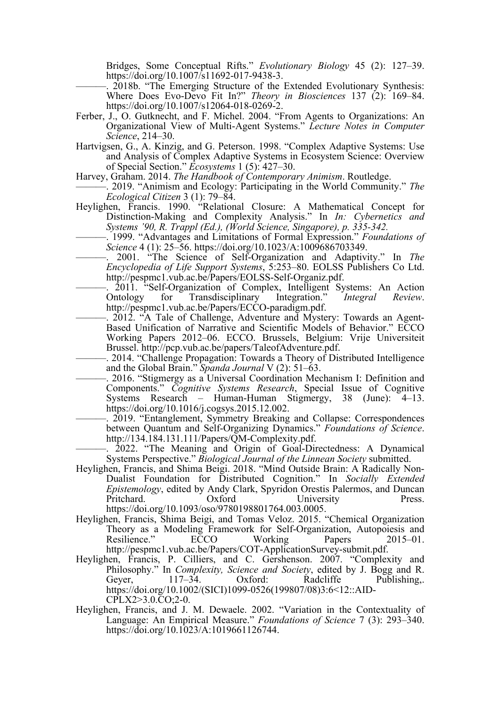Bridges, Some Conceptual Rifts." *Evolutionary Biology* 45 (2): 127–39.

- https://doi.org/10.1007/s11692-017-9438-3.<br>
 2018b. "The Emerging Structure of the Extended Evolutionary Synthesis: Where Does Evo-Devo Fit In?" *Theory in Biosciences* 137 (2): 169–84. https://doi.org/10.1007/s12064-018-0269-2.
- Ferber, J., O. Gutknecht, and F. Michel. 2004. "From Agents to Organizations: An Organizational View of Multi-Agent Systems." *Lecture Notes in Computer Science*, 214–30.
- Hartvigsen, G., A. Kinzig, and G. Peterson. 1998. "Complex Adaptive Systems: Use and Analysis of Complex Adaptive Systems in Ecosystem Science: Overview of Special Section." *Ecosystems* 1 (5): 427–30.

- Harvey, Graham. 2014. *The Handbook of Contemporary Animism*. Routledge. ———. 2019. "Animism and Ecology: Participating in the World Community." *The Ecological Citizen* 3 (1): 79–84.
- Heylighen, Francis. 1990. "Relational Closure: A Mathematical Concept for Distinction-Making and Complexity Analysis." In *In: Cybernetics and*
- *Systems '90, R. Trappl (Ed.), (World Science, Singapore), p. 335-342.* ———. 1999. "Advantages and Limitations of Formal Expression." *Foundations of Science* 4 (1): 25–56. https://doi.org/10.1023/A:1009686703349.<br>
- 2001. "The Science of Self-Organization and Adaptivity." In *The* 
	- *Encyclopedia of Life Support Systems*, 5:253–80. EOLSS Publishers Co Ltd. http://pespmc1.vub.ac.be/Papers/EOLSS-Self-Organiz.pdf.
- -. 2011. "Self-Organization of Complex, Intelligent Systems: An Action Ontology for Transdisciplinary Integration." Integral Review.<br>http://pespmc1.vub.ac.be/Papers/ECCO-paradigm.pdf.<br>-. 2012. "A Tale of Challenge, Adventure and Mystery: Towards an Agent-Based Unification of Narrative and Sci
- Working Papers 2012–06. ECCO. Brussels, Belgium: Vrije Universiteit Brussel. http://pcp.vub.ac.be/papers/TaleofAdventure.pdf.<br>- 2014. "Challenge Propagation: Towards a Theory of Distributed Intelligence
- and the Global Brain." *Spanda Journal* V (2): 51–63.<br>- 2016. "Stigmergy as a Universal Coordination Mechanism I: Definition and
- Components." *Cognitive Systems Research*, Special Issue of Cognitive Systems Research – Human-Human Stigmergy, 38 (June): 4–13. https://doi.org/10.1016/j.cogsys.2015.12.002.
- ———. 2019. "Entanglement, Symmetry Breaking and Collapse: Correspondences between Quantum and Self-Organizing Dynamics." *Foundations of Science*. http://134.184.131.111/Papers/QM-Complexity.pdf.
- . 2022. "The Meaning and Origin of Goal-Directedness: A Dynamical Systems Perspective." *Biological Journal of the Linnean Society* submitted.
- Heylighen, Francis, and Shima Beigi. 2018. "Mind Outside Brain: A Radically Non-Dualist Foundation for Distributed Cognition." In *Socially Extended Epistemology*, edited by Andy Clark, Spyridon Orestis Palermos, and Duncan Pritchard. Cxford University Press. https://doi.org/10.1093/oso/9780198801764.003.0005.
- Heylighen, Francis, Shima Beigi, and Tomas Veloz. 2015. "Chemical Organization Theory as a Modeling Framework for Self-Organization, Autopoiesis and Resilience." ECCO Working Papers 2015–01. http://pespmc1.vub.ac.be/Papers/COT-ApplicationSurvey-submit.pdf.
- Heylighen, Francis, P. Cilliers, and C. Gershenson. 2007. "Complexity and Philosophy." In *Complexity, Science and Society*, edited by J. Bogg and R. Geyer, 117–34. Oxford: Radcliffe Publishing, https://doi.org/10.1002/(SICI)1099-0526(199807/08)3:6<12::AID- CPLX2>3.0.CO;2-0.
- Heylighen, Francis, and J. M. Dewaele. 2002. "Variation in the Contextuality of Language: An Empirical Measure." *Foundations of Science* 7 (3): 293–340. https://doi.org/10.1023/A:1019661126744.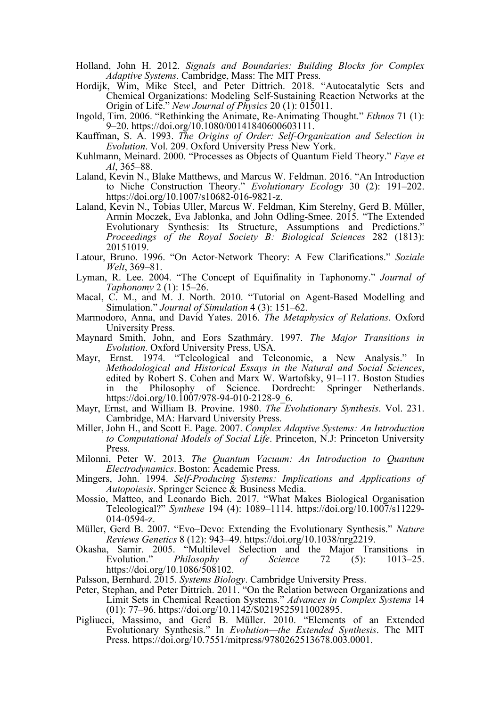- Holland, John H. 2012. *Signals and Boundaries: Building Blocks for Complex Adaptive Systems*. Cambridge, Mass: The MIT Press.
- Hordijk, Wim, Mike Steel, and Peter Dittrich. 2018. "Autocatalytic Sets and Chemical Organizations: Modeling Self-Sustaining Reaction Networks at the Origin of Life." *New Journal of Physics* 20 (1): 015011.
- Ingold, Tim. 2006. "Rethinking the Animate, Re-Animating Thought." *Ethnos* 71 (1): 9–20. https://doi.org/10.1080/00141840600603111.
- Kauffman, S. A. 1993. *The Origins of Order: Self-Organization and Selection in Evolution*. Vol. 209. Oxford University Press New York.
- Kuhlmann, Meinard. 2000. "Processes as Objects of Quantum Field Theory." *Faye et Al*, 365–88.
- Laland, Kevin N., Blake Matthews, and Marcus W. Feldman. 2016. "An Introduction to Niche Construction Theory." *Evolutionary Ecology* 30 (2): 191–202. https://doi.org/10.1007/s10682-016-9821-z.
- Laland, Kevin N., Tobias Uller, Marcus W. Feldman, Kim Sterelny, Gerd B. Müller, Armin Moczek, Eva Jablonka, and John Odling-Smee. 2015. "The Extended Evolutionary Synthesis: Its Structure, Assumptions and Predictions." *Proceedings of the Royal Society B: Biological Sciences* 282 (1813): 20151019.
- Latour, Bruno. 1996. "On Actor-Network Theory: A Few Clarifications." *Soziale Welt*, 369–81.
- Lyman, R. Lee. 2004. "The Concept of Equifinality in Taphonomy." *Journal of Taphonomy* 2 (1): 15–26.
- Macal, C. M., and M. J. North. 2010. "Tutorial on Agent-Based Modelling and Simulation." *Journal of Simulation* 4 (3): 151–62.
- Marmodoro, Anna, and David Yates. 2016. *The Metaphysics of Relations*. Oxford University Press.
- Maynard Smith, John, and Eors Szathmáry. 1997. *The Major Transitions in Evolution*. Oxford University Press, USA.
- Mayr, Ernst. 1974. "Teleological and Teleonomic, a New Analysis." In *Methodological and Historical Essays in the Natural and Social Sciences*, edited by Robert S. Cohen and Marx W. Wartofsky, 91–117. Boston Studies in the Philosophy of Science. Dordrecht: Springer Netherlands. https://doi.org/10.1007/978-94-010-2128-9\_6.
- Mayr, Ernst, and William B. Provine. 1980. *The Evolutionary Synthesis*. Vol. 231. Cambridge, MA: Harvard University Press.
- Miller, John H., and Scott E. Page. 2007. *Complex Adaptive Systems: An Introduction to Computational Models of Social Life*. Princeton, N.J: Princeton University Press.
- Milonni, Peter W. 2013. *The Quantum Vacuum: An Introduction to Quantum Electrodynamics*. Boston: Academic Press.
- Mingers, John. 1994. *Self-Producing Systems: Implications and Applications of Autopoiesis*. Springer Science & Business Media.
- Mossio, Matteo, and Leonardo Bich. 2017. "What Makes Biological Organisation Teleological?" *Synthese* 194 (4): 1089–1114. https://doi.org/10.1007/s11229- 014-0594-z.
- Müller, Gerd B. 2007. "Evo–Devo: Extending the Evolutionary Synthesis." *Nature Reviews Genetics* 8 (12): 943–49. https://doi.org/10.1038/nrg2219.
- Okasha, Samir. 2005. "Multilevel Selection and the Major Transitions in Evolution." *Philosophy of Science* 72 (5): 1013–25. https://doi.org/10.1086/508102.
- Palsson, Bernhard. 2015. *Systems Biology*. Cambridge University Press.
- Peter, Stephan, and Peter Dittrich. 2011. "On the Relation between Organizations and Limit Sets in Chemical Reaction Systems." *Advances in Complex Systems* 14 (01): 77–96. https://doi.org/10.1142/S0219525911002895.
- Pigliucci, Massimo, and Gerd B. Müller. 2010. "Elements of an Extended Evolutionary Synthesis." In *Evolution—the Extended Synthesis*. The MIT Press. https://doi.org/10.7551/mitpress/9780262513678.003.0001.